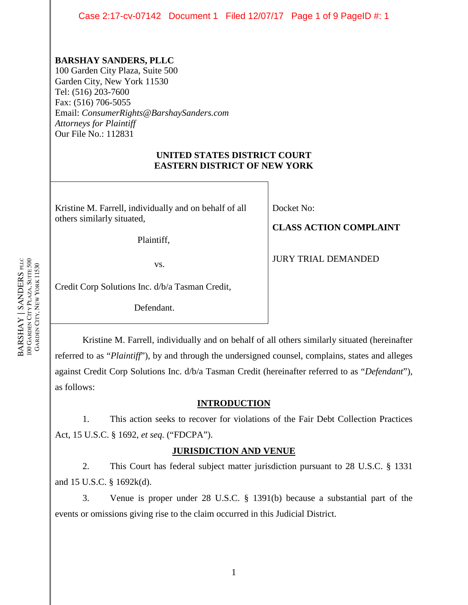Case 2:17-cv-07142 Document 1 Filed 12/07/17 Page 1 of 9 PageID #: 1

# **BARSHAY SANDERS, PLLC**

100 Garden City Plaza, Suite 500 Garden City, New York 11530 Tel: (516) 203-7600 Fax: (516) 706-5055 Email: *ConsumerRights@BarshaySanders.com Attorneys for Plaintiff* Our File No.: 112831

## **UNITED STATES DISTRICT COURT EASTERN DISTRICT OF NEW YORK**

Kristine M. Farrell, individually and on behalf of all others similarly situated,

Plaintiff,

vs.

Docket No:

# **CLASS ACTION COMPLAINT**

JURY TRIAL DEMANDED

Credit Corp Solutions Inc. d/b/a Tasman Credit,

Defendant.

Kristine M. Farrell, individually and on behalf of all others similarly situated (hereinafter referred to as "*Plaintiff*"), by and through the undersigned counsel, complains, states and alleges against Credit Corp Solutions Inc. d/b/a Tasman Credit (hereinafter referred to as "*Defendant*"), as follows:

# **INTRODUCTION**

1. This action seeks to recover for violations of the Fair Debt Collection Practices Act, 15 U.S.C. § 1692, *et seq.* ("FDCPA").

# **JURISDICTION AND VENUE**

2. This Court has federal subject matter jurisdiction pursuant to 28 U.S.C. § 1331 and 15 U.S.C. § 1692k(d).

3. Venue is proper under 28 U.S.C. § 1391(b) because a substantial part of the events or omissions giving rise to the claim occurred in this Judicial District.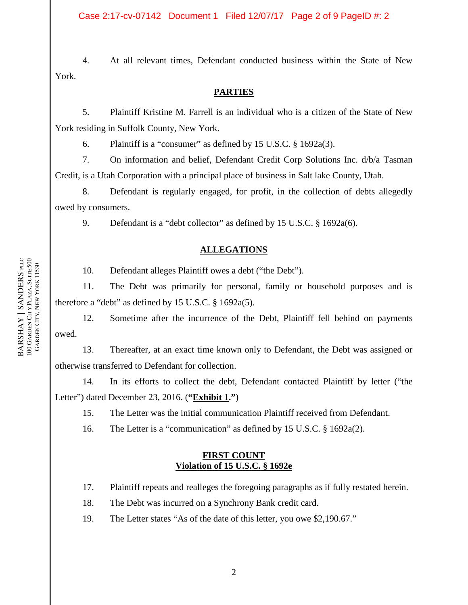Case 2:17-cv-07142 Document 1 Filed 12/07/17 Page 2 of 9 PageID #: 2

4. At all relevant times, Defendant conducted business within the State of New York.

#### **PARTIES**

5. Plaintiff Kristine M. Farrell is an individual who is a citizen of the State of New York residing in Suffolk County, New York.

6. Plaintiff is a "consumer" as defined by 15 U.S.C. § 1692a(3).

7. On information and belief, Defendant Credit Corp Solutions Inc. d/b/a Tasman Credit, is a Utah Corporation with a principal place of business in Salt lake County, Utah.

8. Defendant is regularly engaged, for profit, in the collection of debts allegedly owed by consumers.

9. Defendant is a "debt collector" as defined by 15 U.S.C. § 1692a(6).

# **ALLEGATIONS**

10. Defendant alleges Plaintiff owes a debt ("the Debt").

11. The Debt was primarily for personal, family or household purposes and is therefore a "debt" as defined by 15 U.S.C. § 1692a(5).

12. Sometime after the incurrence of the Debt, Plaintiff fell behind on payments owed.

13. Thereafter, at an exact time known only to Defendant, the Debt was assigned or otherwise transferred to Defendant for collection.

14. In its efforts to collect the debt, Defendant contacted Plaintiff by letter ("the Letter") dated December 23, 2016. (**"Exhibit 1."**)

15. The Letter was the initial communication Plaintiff received from Defendant.

16. The Letter is a "communication" as defined by 15 U.S.C. § 1692a(2).

## **FIRST COUNT Violation of 15 U.S.C. § 1692e**

17. Plaintiff repeats and realleges the foregoing paragraphs as if fully restated herein.

18. The Debt was incurred on a Synchrony Bank credit card.

19. The Letter states "As of the date of this letter, you owe \$2,190.67."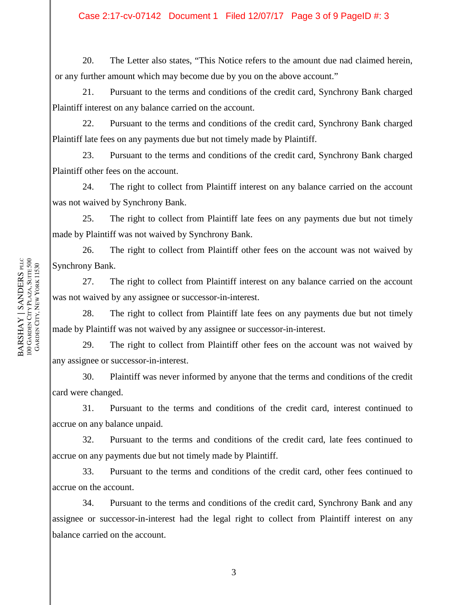20. The Letter also states, "This Notice refers to the amount due nad claimed herein, or any further amount which may become due by you on the above account."

21. Pursuant to the terms and conditions of the credit card, Synchrony Bank charged Plaintiff interest on any balance carried on the account.

22. Pursuant to the terms and conditions of the credit card, Synchrony Bank charged Plaintiff late fees on any payments due but not timely made by Plaintiff.

23. Pursuant to the terms and conditions of the credit card, Synchrony Bank charged Plaintiff other fees on the account.

24. The right to collect from Plaintiff interest on any balance carried on the account was not waived by Synchrony Bank.

25. The right to collect from Plaintiff late fees on any payments due but not timely made by Plaintiff was not waived by Synchrony Bank.

26. The right to collect from Plaintiff other fees on the account was not waived by Synchrony Bank.

27. The right to collect from Plaintiff interest on any balance carried on the account was not waived by any assignee or successor-in-interest.

28. The right to collect from Plaintiff late fees on any payments due but not timely made by Plaintiff was not waived by any assignee or successor-in-interest.

29. The right to collect from Plaintiff other fees on the account was not waived by any assignee or successor-in-interest.

30. Plaintiff was never informed by anyone that the terms and conditions of the credit card were changed.

31. Pursuant to the terms and conditions of the credit card, interest continued to accrue on any balance unpaid.

32. Pursuant to the terms and conditions of the credit card, late fees continued to accrue on any payments due but not timely made by Plaintiff.

33. Pursuant to the terms and conditions of the credit card, other fees continued to accrue on the account.

34. Pursuant to the terms and conditions of the credit card, Synchrony Bank and any assignee or successor-in-interest had the legal right to collect from Plaintiff interest on any balance carried on the account.

3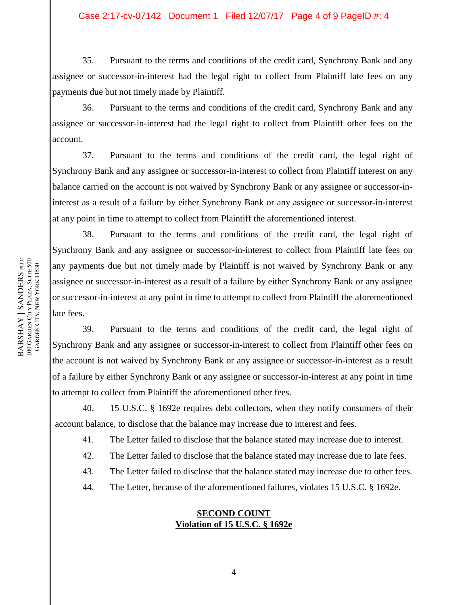35. Pursuant to the terms and conditions of the credit card, Synchrony Bank and any assignee or successor-in-interest had the legal right to collect from Plaintiff late fees on any payments due but not timely made by Plaintiff.

36. Pursuant to the terms and conditions of the credit card, Synchrony Bank and any assignee or successor-in-interest had the legal right to collect from Plaintiff other fees on the account.

37. Pursuant to the terms and conditions of the credit card, the legal right of Synchrony Bank and any assignee or successor-in-interest to collect from Plaintiff interest on any balance carried on the account is not waived by Synchrony Bank or any assignee or successor-ininterest as a result of a failure by either Synchrony Bank or any assignee or successor-in-interest at any point in time to attempt to collect from Plaintiff the aforementioned interest.

38. Pursuant to the terms and conditions of the credit card, the legal right of Synchrony Bank and any assignee or successor-in-interest to collect from Plaintiff late fees on any payments due but not timely made by Plaintiff is not waived by Synchrony Bank or any assignee or successor-in-interest as a result of a failure by either Synchrony Bank or any assignee or successor-in-interest at any point in time to attempt to collect from Plaintiff the aforementioned late fees.

39. Pursuant to the terms and conditions of the credit card, the legal right of Synchrony Bank and any assignee or successor-in-interest to collect from Plaintiff other fees on the account is not waived by Synchrony Bank or any assignee or successor-in-interest as a result of a failure by either Synchrony Bank or any assignee or successor-in-interest at any point in time to attempt to collect from Plaintiff the aforementioned other fees.

40. 15 U.S.C. § 1692e requires debt collectors, when they notify consumers of their account balance, to disclose that the balance may increase due to interest and fees.

41. The Letter failed to disclose that the balance stated may increase due to interest.

42. The Letter failed to disclose that the balance stated may increase due to late fees.

43. The Letter failed to disclose that the balance stated may increase due to other fees.

44. The Letter, because of the aforementioned failures, violates 15 U.S.C. § 1692e.

## **SECOND COUNT Violation of 15 U.S.C. § 1692e**

BARSHAY | SANDERS PLLC **BARSHAY | SANDERS** plic<br>100 Garden City Plaza, Suite 500<br>Garden City, New York 11530 GARDEN CITY PLAZA, SUITE 500 GARDEN CITY, NEW YORK 11530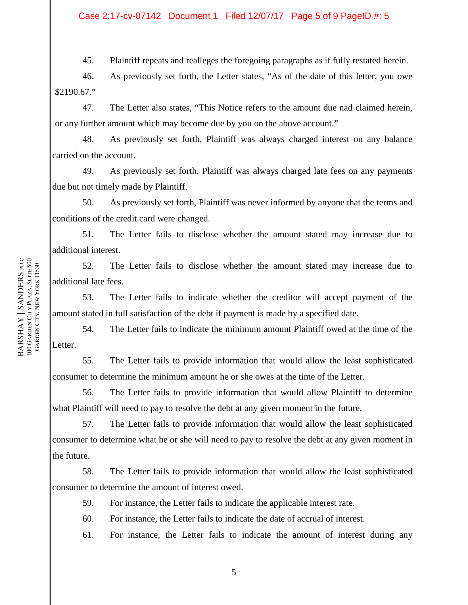45. Plaintiff repeats and realleges the foregoing paragraphs as if fully restated herein.

46. As previously set forth, the Letter states, "As of the date of this letter, you owe \$2190.67."

47. The Letter also states, "This Notice refers to the amount due nad claimed herein, or any further amount which may become due by you on the above account."

48. As previously set forth, Plaintiff was always charged interest on any balance carried on the account.

49. As previously set forth, Plaintiff was always charged late fees on any payments due but not timely made by Plaintiff.

50. As previously set forth, Plaintiff was never informed by anyone that the terms and conditions of the credit card were changed.

51. The Letter fails to disclose whether the amount stated may increase due to additional interest.

52. The Letter fails to disclose whether the amount stated may increase due to additional late fees.

53. The Letter fails to indicate whether the creditor will accept payment of the amount stated in full satisfaction of the debt if payment is made by a specified date.

54. The Letter fails to indicate the minimum amount Plaintiff owed at the time of the Letter.

55. The Letter fails to provide information that would allow the least sophisticated consumer to determine the minimum amount he or she owes at the time of the Letter.

56. The Letter fails to provide information that would allow Plaintiff to determine what Plaintiff will need to pay to resolve the debt at any given moment in the future.

57. The Letter fails to provide information that would allow the least sophisticated consumer to determine what he or she will need to pay to resolve the debt at any given moment in the future.

58. The Letter fails to provide information that would allow the least sophisticated consumer to determine the amount of interest owed.

59. For instance, the Letter fails to indicate the applicable interest rate.

60. For instance, the Letter fails to indicate the date of accrual of interest.

61. For instance, the Letter fails to indicate the amount of interest during any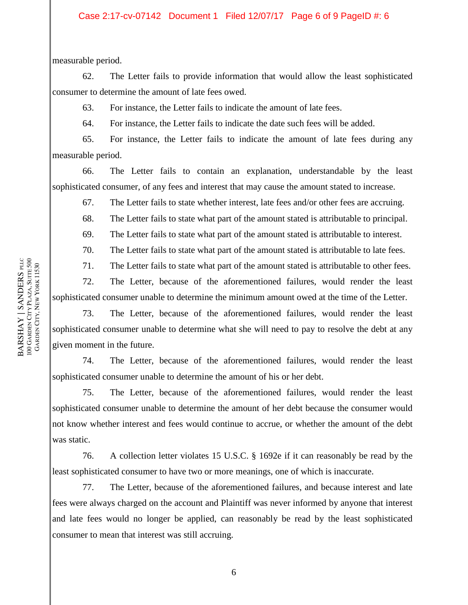measurable period.

62. The Letter fails to provide information that would allow the least sophisticated consumer to determine the amount of late fees owed.

63. For instance, the Letter fails to indicate the amount of late fees.

64. For instance, the Letter fails to indicate the date such fees will be added.

65. For instance, the Letter fails to indicate the amount of late fees during any measurable period.

66. The Letter fails to contain an explanation, understandable by the least sophisticated consumer, of any fees and interest that may cause the amount stated to increase.

67. The Letter fails to state whether interest, late fees and/or other fees are accruing.

68. The Letter fails to state what part of the amount stated is attributable to principal.

69. The Letter fails to state what part of the amount stated is attributable to interest.

70. The Letter fails to state what part of the amount stated is attributable to late fees.

71. The Letter fails to state what part of the amount stated is attributable to other fees.

72. The Letter, because of the aforementioned failures, would render the least sophisticated consumer unable to determine the minimum amount owed at the time of the Letter.

73. The Letter, because of the aforementioned failures, would render the least sophisticated consumer unable to determine what she will need to pay to resolve the debt at any given moment in the future.

74. The Letter, because of the aforementioned failures, would render the least sophisticated consumer unable to determine the amount of his or her debt.

75. The Letter, because of the aforementioned failures, would render the least sophisticated consumer unable to determine the amount of her debt because the consumer would not know whether interest and fees would continue to accrue, or whether the amount of the debt was static.

76. A collection letter violates 15 U.S.C. § 1692e if it can reasonably be read by the least sophisticated consumer to have two or more meanings, one of which is inaccurate.

77. The Letter, because of the aforementioned failures, and because interest and late fees were always charged on the account and Plaintiff was never informed by anyone that interest and late fees would no longer be applied, can reasonably be read by the least sophisticated consumer to mean that interest was still accruing.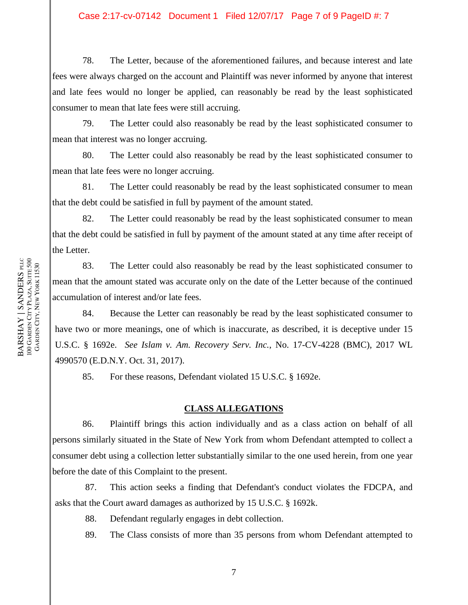78. The Letter, because of the aforementioned failures, and because interest and late fees were always charged on the account and Plaintiff was never informed by anyone that interest and late fees would no longer be applied, can reasonably be read by the least sophisticated consumer to mean that late fees were still accruing.

79. The Letter could also reasonably be read by the least sophisticated consumer to mean that interest was no longer accruing.

80. The Letter could also reasonably be read by the least sophisticated consumer to mean that late fees were no longer accruing.

81. The Letter could reasonably be read by the least sophisticated consumer to mean that the debt could be satisfied in full by payment of the amount stated.

82. The Letter could reasonably be read by the least sophisticated consumer to mean that the debt could be satisfied in full by payment of the amount stated at any time after receipt of the Letter.

83. The Letter could also reasonably be read by the least sophisticated consumer to mean that the amount stated was accurate only on the date of the Letter because of the continued accumulation of interest and/or late fees.

84. Because the Letter can reasonably be read by the least sophisticated consumer to have two or more meanings, one of which is inaccurate, as described, it is deceptive under 15 U.S.C. § 1692e. *See Islam v. Am. Recovery Serv. Inc.*, No. 17-CV-4228 (BMC), 2017 WL 4990570 (E.D.N.Y. Oct. 31, 2017).

85. For these reasons, Defendant violated 15 U.S.C. § 1692e.

#### **CLASS ALLEGATIONS**

86. Plaintiff brings this action individually and as a class action on behalf of all persons similarly situated in the State of New York from whom Defendant attempted to collect a consumer debt using a collection letter substantially similar to the one used herein, from one year before the date of this Complaint to the present.

87. This action seeks a finding that Defendant's conduct violates the FDCPA, and asks that the Court award damages as authorized by 15 U.S.C. § 1692k.

88. Defendant regularly engages in debt collection.

89. The Class consists of more than 35 persons from whom Defendant attempted to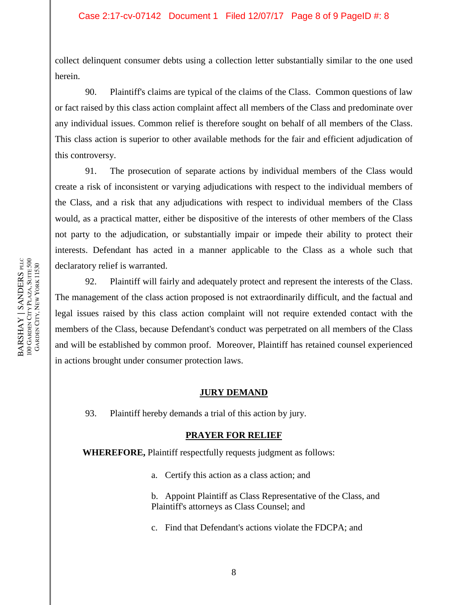collect delinquent consumer debts using a collection letter substantially similar to the one used herein.

90. Plaintiff's claims are typical of the claims of the Class. Common questions of law or fact raised by this class action complaint affect all members of the Class and predominate over any individual issues. Common relief is therefore sought on behalf of all members of the Class. This class action is superior to other available methods for the fair and efficient adjudication of this controversy.

91. The prosecution of separate actions by individual members of the Class would create a risk of inconsistent or varying adjudications with respect to the individual members of the Class, and a risk that any adjudications with respect to individual members of the Class would, as a practical matter, either be dispositive of the interests of other members of the Class not party to the adjudication, or substantially impair or impede their ability to protect their interests. Defendant has acted in a manner applicable to the Class as a whole such that declaratory relief is warranted.

92. Plaintiff will fairly and adequately protect and represent the interests of the Class. The management of the class action proposed is not extraordinarily difficult, and the factual and legal issues raised by this class action complaint will not require extended contact with the members of the Class, because Defendant's conduct was perpetrated on all members of the Class and will be established by common proof. Moreover, Plaintiff has retained counsel experienced in actions brought under consumer protection laws.

## **JURY DEMAND**

93. Plaintiff hereby demands a trial of this action by jury.

## **PRAYER FOR RELIEF**

**WHEREFORE,** Plaintiff respectfully requests judgment as follows:

a. Certify this action as a class action; and

b. Appoint Plaintiff as Class Representative of the Class, and Plaintiff's attorneys as Class Counsel; and

c. Find that Defendant's actions violate the FDCPA; and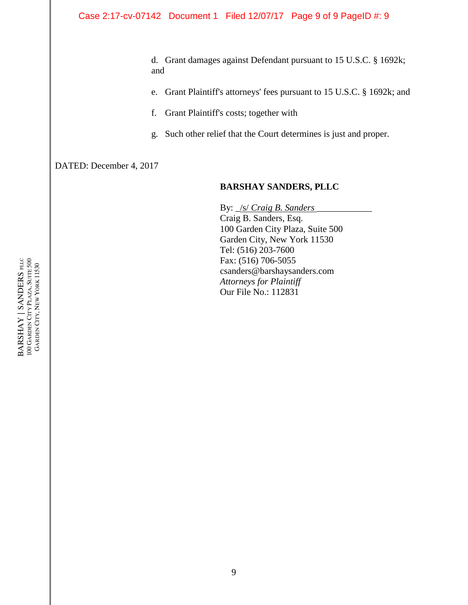d. Grant damages against Defendant pursuant to 15 U.S.C. § 1692k; and

- e. Grant Plaintiff's attorneys' fees pursuant to 15 U.S.C. § 1692k; and
- f. Grant Plaintiff's costs; together with
- g. Such other relief that the Court determines is just and proper.

DATED: December 4, 2017

## **BARSHAY SANDERS, PLLC**

By:  $\sqrt{s}$  *Craig B. Sanders* Craig B. Sanders, Esq. 100 Garden City Plaza, Suite 500 Garden City, New York 11530 Tel: (516) 203-7600 Fax: (516) 706-5055 csanders@barshaysanders.com *Attorneys for Plaintiff* Our File No.: 112831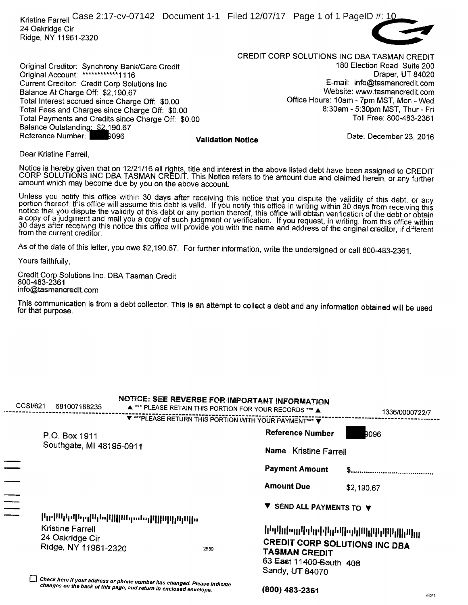Kristine Farrell Case 2:17-cv-07142 Document 1-1 Filed 12/07/17 Page 1 of 1 PageID #: 10 24 Oakridge Cir Ridge, NY 11961-2320



CREDIT CORP SOLUTIONS INC DBA TASMAN CREDIT Original Creditor: Synchrony Bank/Care Credit <sup>180</sup> Election Road Suite 200 Original Account: \*\*\*\*\*\*\*\*\*\*\*\*1116 Draper, UT 84020 Current Creditor: Credit Corp Solutions Inc E-mail: info@tasmancredit.com Balance At Charge Off: \$2,190.67<br>Total Interest accrued since Charge Off: \$0.00 Metal Portal Music 10am - 7pm MST, Mon - Wed Total Interest accrued since Charge Off: \$0.00 Office Hours: 10am - 7pm MST, Mon - Wed<br>Total Fees and Charges since Charge Off: \$0.00 Office Analysis of the State of the Fri Total Fees and Charges since Charge Off: \$0.00 8:30am - 5:30pm MST, Thur - Fri<br>Total Payments and Credits since Charge Off: \$0.00 8:30 8:30am - 5:30pm MST, Thur - Fri

Reference Number: 23, 2016

621

Dear Kristine Farrell,

Balance Outstanding: \$2.190.67

Notice is hereby given that on 12/21/16 all rights, title and interest in the above listed debt have been assigned to CREDIT<br>CORP SOLUTIONS INC DBA TASMAN CREDIT. This Notice refers to the amount due and claimed herein, or amount which may become due by you on the above account.

Unless you notify this office within 30 days after receiving this notice that you dispute the validity of this debt, or any<br>portion thereof, this office will assume this debt is valid. If you notify this office in writing a copy of a judgment and mail you a copy of such judgment or verification. If you request, in writing, from this office within<br>30 days after receiving this notice this office will provide you with the name and address of t

As of the date of this letter, you owe \$2, 190.67. For further information, write the undersigned or call 800-483-2361.

Yours faithfully,

Credit Corp Solutions Inc. DBA Tasman Credit 800-483-2361 info@tasmancredit.com

Total Payments and Credits since Charge Off: \$0.00

This communication is from a debt collector. This is an attempt to collect a debt and any information obtained will be used<br>for that purpose.

| CCSI/621 | 681007188235                                                | NOTICE: SEE REVERSE FOR IMPORTANT INFORMATION<br>A *** PLEASE RETAIN THIS PORTION FOR YOUR RECORDS *** A                                      |      |                       |                                                                     | 1336/0000722/7                                                                                                                                          |      |
|----------|-------------------------------------------------------------|-----------------------------------------------------------------------------------------------------------------------------------------------|------|-----------------------|---------------------------------------------------------------------|---------------------------------------------------------------------------------------------------------------------------------------------------------|------|
|          |                                                             | ▼ *** PLEASE RETURN THIS PORTION WITH YOUR PAYMENT*** ▼                                                                                       |      |                       |                                                                     |                                                                                                                                                         |      |
|          | P.O. Box 1911                                               |                                                                                                                                               |      |                       | <b>Reference Number</b>                                             | DO96                                                                                                                                                    |      |
|          | Southgate, MI 48195-0911                                    |                                                                                                                                               |      | Name Kristine Farrell |                                                                     |                                                                                                                                                         |      |
|          |                                                             |                                                                                                                                               |      |                       | <b>Payment Amount</b>                                               |                                                                                                                                                         |      |
|          |                                                             |                                                                                                                                               |      | <b>Amount Due</b>     |                                                                     | \$2,190.67                                                                                                                                              |      |
| $\equiv$ |                                                             |                                                                                                                                               |      |                       | SEND ALL PAYMENTS TO V                                              |                                                                                                                                                         |      |
|          |                                                             | րական հետ կառությունների միական ա                                                                                                             |      |                       |                                                                     |                                                                                                                                                         |      |
|          | Kristine Farrell<br>24 Oakridge Cir<br>Ridge, NY 11961-2320 |                                                                                                                                               | 2539 |                       | <b>TASMAN CREDIT</b><br>63 East 11400 South: 408<br>Sandy, UT 84070 | ներիկ, իր կան է կան երկան է կան է կան է կան է կան է կան է կան է կան է կան է կան է կան է կան է կան է կան է կան է<br><b>CREDIT CORP SOLUTIONS INC DBA</b> |      |
|          |                                                             | Check here if your address or phone number has changed. Please indicate<br>changes on the back of this page, and return in enclosed envelope. |      |                       | (800) 483-2361                                                      |                                                                                                                                                         | COM- |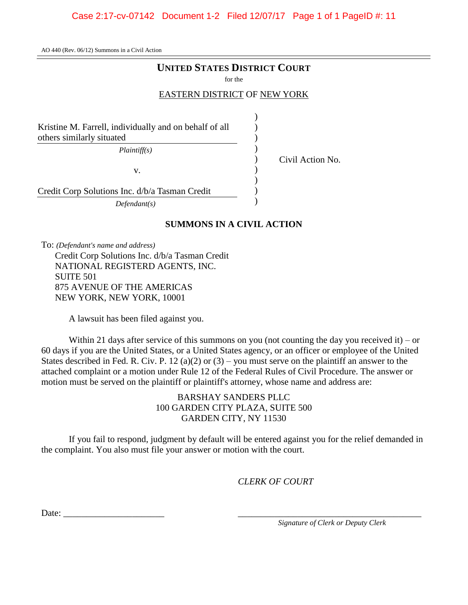#### Case 2:17-cv-07142 Document 1-2 Filed 12/07/17 Page 1 of 1 PageID #: 11

AO 440 (Rev. 06/12) Summons in a Civil Action

#### **UNITED STATES DISTRICT COURT**

for the

#### EASTERN DISTRICT OF NEW YORK

)  $\lambda$ ) ) ) ) ) ) )

Kristine M. Farrell, individually and on behalf of all others similarly situated

*Plaintiff(s)*

v.

Civil Action No.

Credit Corp Solutions Inc. d/b/a Tasman Credit

*Defendant(s)*

#### **SUMMONS IN A CIVIL ACTION**

To: *(Defendant's name and address)*

Credit Corp Solutions Inc. d/b/a Tasman Credit NATIONAL REGISTERD AGENTS, INC. SUITE 501 875 AVENUE OF THE AMERICAS NEW YORK, NEW YORK, 10001

A lawsuit has been filed against you.

Within 21 days after service of this summons on you (not counting the day you received it) – or 60 days if you are the United States, or a United States agency, or an officer or employee of the United States described in Fed. R. Civ. P. 12 (a)(2) or  $(3)$  – you must serve on the plaintiff an answer to the attached complaint or a motion under Rule 12 of the Federal Rules of Civil Procedure. The answer or motion must be served on the plaintiff or plaintiff's attorney, whose name and address are:

> BARSHAY SANDERS PLLC 100 GARDEN CITY PLAZA, SUITE 500 GARDEN CITY, NY 11530

If you fail to respond, judgment by default will be entered against you for the relief demanded in the complaint. You also must file your answer or motion with the court.

*CLERK OF COURT*

Date:  $\_\_$ 

*\_\_\_\_\_\_\_\_\_\_\_\_\_\_\_\_\_\_\_\_\_\_\_\_\_\_\_\_\_\_\_\_\_\_\_\_\_\_\_\_ Signature of Clerk or Deputy Clerk*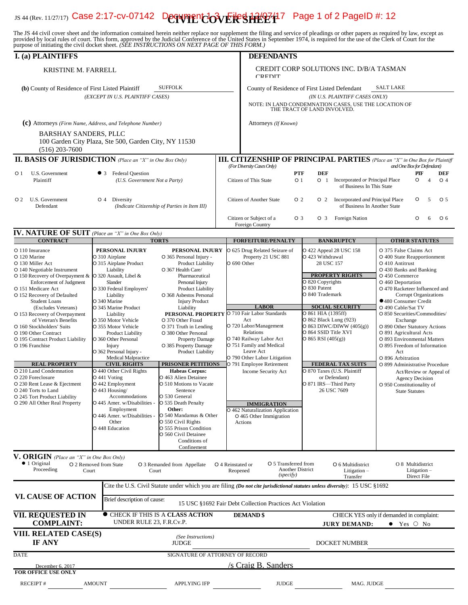# **IS 44 (Rev. 11/27/17) Case 2:17-cv-07142 Document Cover Restaural 7 Page 1 of 2 PageID #: 12**

The JS 44 civil cover sheet and the information contained herein neither replace nor supplement the filing and service of pleadings or other papers as required by law, except as provided by local rules of court. This form,

| <b>DEFENDANTS</b><br>CREDIT CORP SOLUTIONS INC. D/B/A TASMAN<br><b>KRISTINE M. FARRELL</b><br>CREDIT<br><b>SUFFOLK</b><br><b>SALT LAKE</b><br>County of Residence of First Listed Defendant<br>(b) County of Residence of First Listed Plaintiff<br>(EXCEPT IN U.S. PLAINTIFF CASES)<br>(IN U.S. PLAINTIFF CASES ONLY)<br>NOTE: IN LAND CONDEMNATION CASES, USE THE LOCATION OF THE TRACT OF LAND INVOLVED.<br>(c) Attorneys (Firm Name, Address, and Telephone Number)<br>Attorneys (If Known)<br><b>BARSHAY SANDERS, PLLC</b><br>100 Garden City Plaza, Ste 500, Garden City, NY 11530<br>$(516)$ 203-7600<br><b>II. BASIS OF JURISDICTION</b> (Place an "X" in One Box Only)<br><b>III. CITIZENSHIP OF PRINCIPAL PARTIES</b> (Place an "X" in One Box for Plaintiff<br>(For Diversity Cases Only)<br>and One Box for Defendant)<br><b>DEF</b><br>• 3 Federal Question<br><b>PTF</b><br>PIF<br>O <sub>1</sub><br>U.S. Government<br>DEF<br>Plaintiff<br>(U.S. Government Not a Party)<br>Citizen of This State<br>O <sub>1</sub><br>O 1 Incorporated or Principal Place<br>O<br>O <sub>4</sub><br>$\overline{4}$<br>of Business In This State<br>O 2 U.S. Government<br>Citizen of Another State<br>O <sub>2</sub><br>Incorporated and Principal Place<br>O<br>5<br>O <sub>5</sub><br>O 4<br>O <sub>2</sub><br>Diversity<br>Defendant<br>of Business In Another State<br>(Indicate Citizenship of Parties in Item III)<br>Citizen or Subject of a<br>O <sub>3</sub><br><b>Foreign Nation</b><br>O<br>O <sub>6</sub><br>O <sub>3</sub><br>6<br>Foreign Country<br><b>IV. NATURE OF SUIT</b> (Place an "X" in One Box Only)<br><b>CONTRACT</b><br><b>TORTS</b><br><b>FORFEITURE/PENALTY</b><br><b>BANKRUPTCY</b><br><b>OTHER STATUTES</b><br>O 625 Drug Related Seizure of<br>O 110 Insurance<br>PERSONAL INJURY<br>PERSONAL INJURY<br>O 422 Appeal 28 USC 158<br>O 375 False Claims Act<br>Property 21 USC 881<br>O 423 Withdrawal<br>O 310 Airplane<br>O 365 Personal Injury -<br>O 400 State Reapportionment<br>O 690 Other<br>O 315 Airplane Product<br>Product Liability<br>28 USC 157<br>O 410 Antitrust<br>Liability<br>O 367 Health Care/<br>O 430 Banks and Banking<br>O 140 Negotiable Instrument<br><b>PROPERTY RIGHTS</b><br>O 150 Recovery of Overpayment & O 320 Assault, Libel &<br>O 450 Commerce<br>Pharmaceutical<br>O 820 Copyrights<br><b>Enforcement of Judgment</b><br>Slander<br>O 460 Deportation<br>Personal Injury<br>O 830 Patent<br>O 151 Medicare Act<br>O 330 Federal Employers'<br>Product Liability<br>O 470 Racketeer Influenced and<br>O 840 Trademark<br>O 152 Recovery of Defaulted<br>Liability<br>O 368 Asbestos Personal<br><b>Corrupt Organizations</b><br>●480 Consumer Credit<br>O 340 Marine<br><b>Student Loans</b><br><b>Injury Product</b><br><b>LABOR</b><br><b>SOCIAL SECURITY</b><br>O 490 Cable/Sat TV<br>O 345 Marine Product<br>(Excludes Veterans)<br>Liability<br>O 861 HIA (1395ff)<br>O 710 Fair Labor Standards<br>PERSONAL PROPERTY<br>O 850 Securities/Commodities/<br>O 153 Recovery of Overpayment<br>Liability<br>O 862 Black Lung (923)<br>Act<br>of Veteran's Benefits<br>O 350 Motor Vehicle<br>O 370 Other Fraud<br>Exchange<br>O 863 DIWC/DIWW $(405(g))$<br>O 720 Labor/Management<br>O 890 Other Statutory Actions<br>O 355 Motor Vehicle<br>O 371 Truth in Lending<br>O 864 SSID Title XVI<br>Relations<br>O 891 Agricultural Acts<br>O 190 Other Contract<br>O 380 Other Personal<br><b>Product Liability</b><br>O 740 Railway Labor Act<br>$O$ 865 RSI (405(g))<br>O 360 Other Personal<br>Property Damage<br>O 893 Environmental Matters<br>O 751 Family and Medical<br>O 385 Property Damage<br>Injury<br>O 895 Freedom of Information<br>Leave Act<br>O 362 Personal Injury -<br>Product Liability<br>Act<br>O 790 Other Labor Litigation<br>O 896 Arbitration<br><b>Medical Malpractice</b><br><b>REAL PROPERTY</b><br><b>PRISONER PETITIONS</b><br><b>CIVIL RIGHTS</b><br>FEDERAL TAX SUITS<br>O 791 Employee Retirement<br>O 899 Administrative Procedure<br>O 210 Land Condemnation<br>O 440 Other Civil Rights<br><b>Habeas Corpus:</b><br>O 870 Taxes (U.S. Plaintiff<br>Income Security Act<br>Act/Review or Appeal of<br>O 441 Voting<br>O 463 Alien Detainee<br>or Defendant)<br><b>Agency Decision</b><br>O 442 Employment<br>O 871 IRS-Third Party<br>O 510 Motions to Vacate<br>O 950 Constitutionality of<br>O 240 Torts to Land<br>$O$ 443 Housing/<br>Sentence<br>26 USC 7609<br><b>State Statutes</b><br>O 245 Tort Product Liability<br>O 530 General<br>Accommodations<br>O 445 Amer. w/Disabilities -<br>O 535 Death Penalty<br><b>IMMIGRATION</b><br>Other:<br>Employment<br>O 462 Naturalization Application<br>O 446 Amer. w/Disabilities -<br>O 540 Mandamus & Other<br>O 465 Other Immigration<br>O 550 Civil Rights<br>Other<br>Actions<br>O 448 Education<br>O 555 Prison Condition<br>O 560 Civil Detainee<br>Conditions of<br>Confinement<br><b>V. ORIGIN</b> (Place an "X" in One Box Only)<br>$\bullet$ 1 Original<br>O 5 Transferred from<br>O 8 Multidistrict<br>O 2 Removed from State<br>O 3 Remanded from Appellate<br>O 4 Reinstated or<br>O 6 Multidistrict<br>Proceeding<br>Another District<br>Litigation $-$<br>Court<br>Reopened<br>Litigation $-$<br>Court<br>(specify)<br>Direct File<br>Transfer<br>Cite the U.S. Civil Statute under which you are filing (Do not cite jurisdictional statutes unless diversity): 15 USC §1692<br><b>VI. CAUSE OF ACTION</b><br>Brief description of cause:<br>15 USC §1692 Fair Debt Collection Practices Act Violation<br><b>CHECK IF THIS IS A CLASS ACTION</b><br><b>DEMAND \$</b><br>CHECK YES only if demanded in complaint:<br>UNDER RULE 23, F.R.Cv.P.<br><b>COMPLAINT:</b><br><b>JURY DEMAND:</b><br>$\bullet$ Yes $\circ$ No | purpose of initialing the civil docket sheet. [BEE INSTRUCTIONS ON NEAT TAGE OF THIS FORM.] |  |  |  |  |  |  |
|------------------------------------------------------------------------------------------------------------------------------------------------------------------------------------------------------------------------------------------------------------------------------------------------------------------------------------------------------------------------------------------------------------------------------------------------------------------------------------------------------------------------------------------------------------------------------------------------------------------------------------------------------------------------------------------------------------------------------------------------------------------------------------------------------------------------------------------------------------------------------------------------------------------------------------------------------------------------------------------------------------------------------------------------------------------------------------------------------------------------------------------------------------------------------------------------------------------------------------------------------------------------------------------------------------------------------------------------------------------------------------------------------------------------------------------------------------------------------------------------------------------------------------------------------------------------------------------------------------------------------------------------------------------------------------------------------------------------------------------------------------------------------------------------------------------------------------------------------------------------------------------------------------------------------------------------------------------------------------------------------------------------------------------------------------------------------------------------------------------------------------------------------------------------------------------------------------------------------------------------------------------------------------------------------------------------------------------------------------------------------------------------------------------------------------------------------------------------------------------------------------------------------------------------------------------------------------------------------------------------------------------------------------------------------------------------------------------------------------------------------------------------------------------------------------------------------------------------------------------------------------------------------------------------------------------------------------------------------------------------------------------------------------------------------------------------------------------------------------------------------------------------------------------------------------------------------------------------------------------------------------------------------------------------------------------------------------------------------------------------------------------------------------------------------------------------------------------------------------------------------------------------------------------------------------------------------------------------------------------------------------------------------------------------------------------------------------------------------------------------------------------------------------------------------------------------------------------------------------------------------------------------------------------------------------------------------------------------------------------------------------------------------------------------------------------------------------------------------------------------------------------------------------------------------------------------------------------------------------------------------------------------------------------------------------------------------------------------------------------------------------------------------------------------------------------------------------------------------------------------------------------------------------------------------------------------------------------------------------------------------------------------------------------------------------------------------------------------------------------------------------------------------------------------------------------------------------------------------------------------------------------------------------------------------------------------------------------------------------------------------------------------------------------------------------------------------------------------------------------------------------------------------------------------------------------------------------------------------------------------------------------------------------------------------------------------------------------------------------------------------------------------------------------------------------------------------------------------------------------------------------------------------------------------------------------------------------------------------------------------------------------------------------------------------------------------------------------------------------------------------------------------------------------------|---------------------------------------------------------------------------------------------|--|--|--|--|--|--|
|                                                                                                                                                                                                                                                                                                                                                                                                                                                                                                                                                                                                                                                                                                                                                                                                                                                                                                                                                                                                                                                                                                                                                                                                                                                                                                                                                                                                                                                                                                                                                                                                                                                                                                                                                                                                                                                                                                                                                                                                                                                                                                                                                                                                                                                                                                                                                                                                                                                                                                                                                                                                                                                                                                                                                                                                                                                                                                                                                                                                                                                                                                                                                                                                                                                                                                                                                                                                                                                                                                                                                                                                                                                                                                                                                                                                                                                                                                                                                                                                                                                                                                                                                                                                                                                                                                                                                                                                                                                                                                                                                                                                                                                                                                                                                                                                                                                                                                                                                                                                                                                                                                                                                                                                                                                                                                                                                                                                                                                                                                                                                                                                                                                                                                                                                                                                | <b>I.</b> (a) PLAINTIFFS                                                                    |  |  |  |  |  |  |
|                                                                                                                                                                                                                                                                                                                                                                                                                                                                                                                                                                                                                                                                                                                                                                                                                                                                                                                                                                                                                                                                                                                                                                                                                                                                                                                                                                                                                                                                                                                                                                                                                                                                                                                                                                                                                                                                                                                                                                                                                                                                                                                                                                                                                                                                                                                                                                                                                                                                                                                                                                                                                                                                                                                                                                                                                                                                                                                                                                                                                                                                                                                                                                                                                                                                                                                                                                                                                                                                                                                                                                                                                                                                                                                                                                                                                                                                                                                                                                                                                                                                                                                                                                                                                                                                                                                                                                                                                                                                                                                                                                                                                                                                                                                                                                                                                                                                                                                                                                                                                                                                                                                                                                                                                                                                                                                                                                                                                                                                                                                                                                                                                                                                                                                                                                                                |                                                                                             |  |  |  |  |  |  |
|                                                                                                                                                                                                                                                                                                                                                                                                                                                                                                                                                                                                                                                                                                                                                                                                                                                                                                                                                                                                                                                                                                                                                                                                                                                                                                                                                                                                                                                                                                                                                                                                                                                                                                                                                                                                                                                                                                                                                                                                                                                                                                                                                                                                                                                                                                                                                                                                                                                                                                                                                                                                                                                                                                                                                                                                                                                                                                                                                                                                                                                                                                                                                                                                                                                                                                                                                                                                                                                                                                                                                                                                                                                                                                                                                                                                                                                                                                                                                                                                                                                                                                                                                                                                                                                                                                                                                                                                                                                                                                                                                                                                                                                                                                                                                                                                                                                                                                                                                                                                                                                                                                                                                                                                                                                                                                                                                                                                                                                                                                                                                                                                                                                                                                                                                                                                |                                                                                             |  |  |  |  |  |  |
|                                                                                                                                                                                                                                                                                                                                                                                                                                                                                                                                                                                                                                                                                                                                                                                                                                                                                                                                                                                                                                                                                                                                                                                                                                                                                                                                                                                                                                                                                                                                                                                                                                                                                                                                                                                                                                                                                                                                                                                                                                                                                                                                                                                                                                                                                                                                                                                                                                                                                                                                                                                                                                                                                                                                                                                                                                                                                                                                                                                                                                                                                                                                                                                                                                                                                                                                                                                                                                                                                                                                                                                                                                                                                                                                                                                                                                                                                                                                                                                                                                                                                                                                                                                                                                                                                                                                                                                                                                                                                                                                                                                                                                                                                                                                                                                                                                                                                                                                                                                                                                                                                                                                                                                                                                                                                                                                                                                                                                                                                                                                                                                                                                                                                                                                                                                                |                                                                                             |  |  |  |  |  |  |
|                                                                                                                                                                                                                                                                                                                                                                                                                                                                                                                                                                                                                                                                                                                                                                                                                                                                                                                                                                                                                                                                                                                                                                                                                                                                                                                                                                                                                                                                                                                                                                                                                                                                                                                                                                                                                                                                                                                                                                                                                                                                                                                                                                                                                                                                                                                                                                                                                                                                                                                                                                                                                                                                                                                                                                                                                                                                                                                                                                                                                                                                                                                                                                                                                                                                                                                                                                                                                                                                                                                                                                                                                                                                                                                                                                                                                                                                                                                                                                                                                                                                                                                                                                                                                                                                                                                                                                                                                                                                                                                                                                                                                                                                                                                                                                                                                                                                                                                                                                                                                                                                                                                                                                                                                                                                                                                                                                                                                                                                                                                                                                                                                                                                                                                                                                                                |                                                                                             |  |  |  |  |  |  |
|                                                                                                                                                                                                                                                                                                                                                                                                                                                                                                                                                                                                                                                                                                                                                                                                                                                                                                                                                                                                                                                                                                                                                                                                                                                                                                                                                                                                                                                                                                                                                                                                                                                                                                                                                                                                                                                                                                                                                                                                                                                                                                                                                                                                                                                                                                                                                                                                                                                                                                                                                                                                                                                                                                                                                                                                                                                                                                                                                                                                                                                                                                                                                                                                                                                                                                                                                                                                                                                                                                                                                                                                                                                                                                                                                                                                                                                                                                                                                                                                                                                                                                                                                                                                                                                                                                                                                                                                                                                                                                                                                                                                                                                                                                                                                                                                                                                                                                                                                                                                                                                                                                                                                                                                                                                                                                                                                                                                                                                                                                                                                                                                                                                                                                                                                                                                |                                                                                             |  |  |  |  |  |  |
|                                                                                                                                                                                                                                                                                                                                                                                                                                                                                                                                                                                                                                                                                                                                                                                                                                                                                                                                                                                                                                                                                                                                                                                                                                                                                                                                                                                                                                                                                                                                                                                                                                                                                                                                                                                                                                                                                                                                                                                                                                                                                                                                                                                                                                                                                                                                                                                                                                                                                                                                                                                                                                                                                                                                                                                                                                                                                                                                                                                                                                                                                                                                                                                                                                                                                                                                                                                                                                                                                                                                                                                                                                                                                                                                                                                                                                                                                                                                                                                                                                                                                                                                                                                                                                                                                                                                                                                                                                                                                                                                                                                                                                                                                                                                                                                                                                                                                                                                                                                                                                                                                                                                                                                                                                                                                                                                                                                                                                                                                                                                                                                                                                                                                                                                                                                                |                                                                                             |  |  |  |  |  |  |
|                                                                                                                                                                                                                                                                                                                                                                                                                                                                                                                                                                                                                                                                                                                                                                                                                                                                                                                                                                                                                                                                                                                                                                                                                                                                                                                                                                                                                                                                                                                                                                                                                                                                                                                                                                                                                                                                                                                                                                                                                                                                                                                                                                                                                                                                                                                                                                                                                                                                                                                                                                                                                                                                                                                                                                                                                                                                                                                                                                                                                                                                                                                                                                                                                                                                                                                                                                                                                                                                                                                                                                                                                                                                                                                                                                                                                                                                                                                                                                                                                                                                                                                                                                                                                                                                                                                                                                                                                                                                                                                                                                                                                                                                                                                                                                                                                                                                                                                                                                                                                                                                                                                                                                                                                                                                                                                                                                                                                                                                                                                                                                                                                                                                                                                                                                                                |                                                                                             |  |  |  |  |  |  |
|                                                                                                                                                                                                                                                                                                                                                                                                                                                                                                                                                                                                                                                                                                                                                                                                                                                                                                                                                                                                                                                                                                                                                                                                                                                                                                                                                                                                                                                                                                                                                                                                                                                                                                                                                                                                                                                                                                                                                                                                                                                                                                                                                                                                                                                                                                                                                                                                                                                                                                                                                                                                                                                                                                                                                                                                                                                                                                                                                                                                                                                                                                                                                                                                                                                                                                                                                                                                                                                                                                                                                                                                                                                                                                                                                                                                                                                                                                                                                                                                                                                                                                                                                                                                                                                                                                                                                                                                                                                                                                                                                                                                                                                                                                                                                                                                                                                                                                                                                                                                                                                                                                                                                                                                                                                                                                                                                                                                                                                                                                                                                                                                                                                                                                                                                                                                |                                                                                             |  |  |  |  |  |  |
|                                                                                                                                                                                                                                                                                                                                                                                                                                                                                                                                                                                                                                                                                                                                                                                                                                                                                                                                                                                                                                                                                                                                                                                                                                                                                                                                                                                                                                                                                                                                                                                                                                                                                                                                                                                                                                                                                                                                                                                                                                                                                                                                                                                                                                                                                                                                                                                                                                                                                                                                                                                                                                                                                                                                                                                                                                                                                                                                                                                                                                                                                                                                                                                                                                                                                                                                                                                                                                                                                                                                                                                                                                                                                                                                                                                                                                                                                                                                                                                                                                                                                                                                                                                                                                                                                                                                                                                                                                                                                                                                                                                                                                                                                                                                                                                                                                                                                                                                                                                                                                                                                                                                                                                                                                                                                                                                                                                                                                                                                                                                                                                                                                                                                                                                                                                                |                                                                                             |  |  |  |  |  |  |
|                                                                                                                                                                                                                                                                                                                                                                                                                                                                                                                                                                                                                                                                                                                                                                                                                                                                                                                                                                                                                                                                                                                                                                                                                                                                                                                                                                                                                                                                                                                                                                                                                                                                                                                                                                                                                                                                                                                                                                                                                                                                                                                                                                                                                                                                                                                                                                                                                                                                                                                                                                                                                                                                                                                                                                                                                                                                                                                                                                                                                                                                                                                                                                                                                                                                                                                                                                                                                                                                                                                                                                                                                                                                                                                                                                                                                                                                                                                                                                                                                                                                                                                                                                                                                                                                                                                                                                                                                                                                                                                                                                                                                                                                                                                                                                                                                                                                                                                                                                                                                                                                                                                                                                                                                                                                                                                                                                                                                                                                                                                                                                                                                                                                                                                                                                                                |                                                                                             |  |  |  |  |  |  |
|                                                                                                                                                                                                                                                                                                                                                                                                                                                                                                                                                                                                                                                                                                                                                                                                                                                                                                                                                                                                                                                                                                                                                                                                                                                                                                                                                                                                                                                                                                                                                                                                                                                                                                                                                                                                                                                                                                                                                                                                                                                                                                                                                                                                                                                                                                                                                                                                                                                                                                                                                                                                                                                                                                                                                                                                                                                                                                                                                                                                                                                                                                                                                                                                                                                                                                                                                                                                                                                                                                                                                                                                                                                                                                                                                                                                                                                                                                                                                                                                                                                                                                                                                                                                                                                                                                                                                                                                                                                                                                                                                                                                                                                                                                                                                                                                                                                                                                                                                                                                                                                                                                                                                                                                                                                                                                                                                                                                                                                                                                                                                                                                                                                                                                                                                                                                |                                                                                             |  |  |  |  |  |  |
|                                                                                                                                                                                                                                                                                                                                                                                                                                                                                                                                                                                                                                                                                                                                                                                                                                                                                                                                                                                                                                                                                                                                                                                                                                                                                                                                                                                                                                                                                                                                                                                                                                                                                                                                                                                                                                                                                                                                                                                                                                                                                                                                                                                                                                                                                                                                                                                                                                                                                                                                                                                                                                                                                                                                                                                                                                                                                                                                                                                                                                                                                                                                                                                                                                                                                                                                                                                                                                                                                                                                                                                                                                                                                                                                                                                                                                                                                                                                                                                                                                                                                                                                                                                                                                                                                                                                                                                                                                                                                                                                                                                                                                                                                                                                                                                                                                                                                                                                                                                                                                                                                                                                                                                                                                                                                                                                                                                                                                                                                                                                                                                                                                                                                                                                                                                                |                                                                                             |  |  |  |  |  |  |
|                                                                                                                                                                                                                                                                                                                                                                                                                                                                                                                                                                                                                                                                                                                                                                                                                                                                                                                                                                                                                                                                                                                                                                                                                                                                                                                                                                                                                                                                                                                                                                                                                                                                                                                                                                                                                                                                                                                                                                                                                                                                                                                                                                                                                                                                                                                                                                                                                                                                                                                                                                                                                                                                                                                                                                                                                                                                                                                                                                                                                                                                                                                                                                                                                                                                                                                                                                                                                                                                                                                                                                                                                                                                                                                                                                                                                                                                                                                                                                                                                                                                                                                                                                                                                                                                                                                                                                                                                                                                                                                                                                                                                                                                                                                                                                                                                                                                                                                                                                                                                                                                                                                                                                                                                                                                                                                                                                                                                                                                                                                                                                                                                                                                                                                                                                                                |                                                                                             |  |  |  |  |  |  |
|                                                                                                                                                                                                                                                                                                                                                                                                                                                                                                                                                                                                                                                                                                                                                                                                                                                                                                                                                                                                                                                                                                                                                                                                                                                                                                                                                                                                                                                                                                                                                                                                                                                                                                                                                                                                                                                                                                                                                                                                                                                                                                                                                                                                                                                                                                                                                                                                                                                                                                                                                                                                                                                                                                                                                                                                                                                                                                                                                                                                                                                                                                                                                                                                                                                                                                                                                                                                                                                                                                                                                                                                                                                                                                                                                                                                                                                                                                                                                                                                                                                                                                                                                                                                                                                                                                                                                                                                                                                                                                                                                                                                                                                                                                                                                                                                                                                                                                                                                                                                                                                                                                                                                                                                                                                                                                                                                                                                                                                                                                                                                                                                                                                                                                                                                                                                |                                                                                             |  |  |  |  |  |  |
|                                                                                                                                                                                                                                                                                                                                                                                                                                                                                                                                                                                                                                                                                                                                                                                                                                                                                                                                                                                                                                                                                                                                                                                                                                                                                                                                                                                                                                                                                                                                                                                                                                                                                                                                                                                                                                                                                                                                                                                                                                                                                                                                                                                                                                                                                                                                                                                                                                                                                                                                                                                                                                                                                                                                                                                                                                                                                                                                                                                                                                                                                                                                                                                                                                                                                                                                                                                                                                                                                                                                                                                                                                                                                                                                                                                                                                                                                                                                                                                                                                                                                                                                                                                                                                                                                                                                                                                                                                                                                                                                                                                                                                                                                                                                                                                                                                                                                                                                                                                                                                                                                                                                                                                                                                                                                                                                                                                                                                                                                                                                                                                                                                                                                                                                                                                                |                                                                                             |  |  |  |  |  |  |
|                                                                                                                                                                                                                                                                                                                                                                                                                                                                                                                                                                                                                                                                                                                                                                                                                                                                                                                                                                                                                                                                                                                                                                                                                                                                                                                                                                                                                                                                                                                                                                                                                                                                                                                                                                                                                                                                                                                                                                                                                                                                                                                                                                                                                                                                                                                                                                                                                                                                                                                                                                                                                                                                                                                                                                                                                                                                                                                                                                                                                                                                                                                                                                                                                                                                                                                                                                                                                                                                                                                                                                                                                                                                                                                                                                                                                                                                                                                                                                                                                                                                                                                                                                                                                                                                                                                                                                                                                                                                                                                                                                                                                                                                                                                                                                                                                                                                                                                                                                                                                                                                                                                                                                                                                                                                                                                                                                                                                                                                                                                                                                                                                                                                                                                                                                                                | O 120 Marine                                                                                |  |  |  |  |  |  |
|                                                                                                                                                                                                                                                                                                                                                                                                                                                                                                                                                                                                                                                                                                                                                                                                                                                                                                                                                                                                                                                                                                                                                                                                                                                                                                                                                                                                                                                                                                                                                                                                                                                                                                                                                                                                                                                                                                                                                                                                                                                                                                                                                                                                                                                                                                                                                                                                                                                                                                                                                                                                                                                                                                                                                                                                                                                                                                                                                                                                                                                                                                                                                                                                                                                                                                                                                                                                                                                                                                                                                                                                                                                                                                                                                                                                                                                                                                                                                                                                                                                                                                                                                                                                                                                                                                                                                                                                                                                                                                                                                                                                                                                                                                                                                                                                                                                                                                                                                                                                                                                                                                                                                                                                                                                                                                                                                                                                                                                                                                                                                                                                                                                                                                                                                                                                | O 130 Miller Act                                                                            |  |  |  |  |  |  |
|                                                                                                                                                                                                                                                                                                                                                                                                                                                                                                                                                                                                                                                                                                                                                                                                                                                                                                                                                                                                                                                                                                                                                                                                                                                                                                                                                                                                                                                                                                                                                                                                                                                                                                                                                                                                                                                                                                                                                                                                                                                                                                                                                                                                                                                                                                                                                                                                                                                                                                                                                                                                                                                                                                                                                                                                                                                                                                                                                                                                                                                                                                                                                                                                                                                                                                                                                                                                                                                                                                                                                                                                                                                                                                                                                                                                                                                                                                                                                                                                                                                                                                                                                                                                                                                                                                                                                                                                                                                                                                                                                                                                                                                                                                                                                                                                                                                                                                                                                                                                                                                                                                                                                                                                                                                                                                                                                                                                                                                                                                                                                                                                                                                                                                                                                                                                |                                                                                             |  |  |  |  |  |  |
|                                                                                                                                                                                                                                                                                                                                                                                                                                                                                                                                                                                                                                                                                                                                                                                                                                                                                                                                                                                                                                                                                                                                                                                                                                                                                                                                                                                                                                                                                                                                                                                                                                                                                                                                                                                                                                                                                                                                                                                                                                                                                                                                                                                                                                                                                                                                                                                                                                                                                                                                                                                                                                                                                                                                                                                                                                                                                                                                                                                                                                                                                                                                                                                                                                                                                                                                                                                                                                                                                                                                                                                                                                                                                                                                                                                                                                                                                                                                                                                                                                                                                                                                                                                                                                                                                                                                                                                                                                                                                                                                                                                                                                                                                                                                                                                                                                                                                                                                                                                                                                                                                                                                                                                                                                                                                                                                                                                                                                                                                                                                                                                                                                                                                                                                                                                                |                                                                                             |  |  |  |  |  |  |
|                                                                                                                                                                                                                                                                                                                                                                                                                                                                                                                                                                                                                                                                                                                                                                                                                                                                                                                                                                                                                                                                                                                                                                                                                                                                                                                                                                                                                                                                                                                                                                                                                                                                                                                                                                                                                                                                                                                                                                                                                                                                                                                                                                                                                                                                                                                                                                                                                                                                                                                                                                                                                                                                                                                                                                                                                                                                                                                                                                                                                                                                                                                                                                                                                                                                                                                                                                                                                                                                                                                                                                                                                                                                                                                                                                                                                                                                                                                                                                                                                                                                                                                                                                                                                                                                                                                                                                                                                                                                                                                                                                                                                                                                                                                                                                                                                                                                                                                                                                                                                                                                                                                                                                                                                                                                                                                                                                                                                                                                                                                                                                                                                                                                                                                                                                                                |                                                                                             |  |  |  |  |  |  |
|                                                                                                                                                                                                                                                                                                                                                                                                                                                                                                                                                                                                                                                                                                                                                                                                                                                                                                                                                                                                                                                                                                                                                                                                                                                                                                                                                                                                                                                                                                                                                                                                                                                                                                                                                                                                                                                                                                                                                                                                                                                                                                                                                                                                                                                                                                                                                                                                                                                                                                                                                                                                                                                                                                                                                                                                                                                                                                                                                                                                                                                                                                                                                                                                                                                                                                                                                                                                                                                                                                                                                                                                                                                                                                                                                                                                                                                                                                                                                                                                                                                                                                                                                                                                                                                                                                                                                                                                                                                                                                                                                                                                                                                                                                                                                                                                                                                                                                                                                                                                                                                                                                                                                                                                                                                                                                                                                                                                                                                                                                                                                                                                                                                                                                                                                                                                |                                                                                             |  |  |  |  |  |  |
|                                                                                                                                                                                                                                                                                                                                                                                                                                                                                                                                                                                                                                                                                                                                                                                                                                                                                                                                                                                                                                                                                                                                                                                                                                                                                                                                                                                                                                                                                                                                                                                                                                                                                                                                                                                                                                                                                                                                                                                                                                                                                                                                                                                                                                                                                                                                                                                                                                                                                                                                                                                                                                                                                                                                                                                                                                                                                                                                                                                                                                                                                                                                                                                                                                                                                                                                                                                                                                                                                                                                                                                                                                                                                                                                                                                                                                                                                                                                                                                                                                                                                                                                                                                                                                                                                                                                                                                                                                                                                                                                                                                                                                                                                                                                                                                                                                                                                                                                                                                                                                                                                                                                                                                                                                                                                                                                                                                                                                                                                                                                                                                                                                                                                                                                                                                                |                                                                                             |  |  |  |  |  |  |
|                                                                                                                                                                                                                                                                                                                                                                                                                                                                                                                                                                                                                                                                                                                                                                                                                                                                                                                                                                                                                                                                                                                                                                                                                                                                                                                                                                                                                                                                                                                                                                                                                                                                                                                                                                                                                                                                                                                                                                                                                                                                                                                                                                                                                                                                                                                                                                                                                                                                                                                                                                                                                                                                                                                                                                                                                                                                                                                                                                                                                                                                                                                                                                                                                                                                                                                                                                                                                                                                                                                                                                                                                                                                                                                                                                                                                                                                                                                                                                                                                                                                                                                                                                                                                                                                                                                                                                                                                                                                                                                                                                                                                                                                                                                                                                                                                                                                                                                                                                                                                                                                                                                                                                                                                                                                                                                                                                                                                                                                                                                                                                                                                                                                                                                                                                                                |                                                                                             |  |  |  |  |  |  |
|                                                                                                                                                                                                                                                                                                                                                                                                                                                                                                                                                                                                                                                                                                                                                                                                                                                                                                                                                                                                                                                                                                                                                                                                                                                                                                                                                                                                                                                                                                                                                                                                                                                                                                                                                                                                                                                                                                                                                                                                                                                                                                                                                                                                                                                                                                                                                                                                                                                                                                                                                                                                                                                                                                                                                                                                                                                                                                                                                                                                                                                                                                                                                                                                                                                                                                                                                                                                                                                                                                                                                                                                                                                                                                                                                                                                                                                                                                                                                                                                                                                                                                                                                                                                                                                                                                                                                                                                                                                                                                                                                                                                                                                                                                                                                                                                                                                                                                                                                                                                                                                                                                                                                                                                                                                                                                                                                                                                                                                                                                                                                                                                                                                                                                                                                                                                | O 160 Stockholders' Suits                                                                   |  |  |  |  |  |  |
|                                                                                                                                                                                                                                                                                                                                                                                                                                                                                                                                                                                                                                                                                                                                                                                                                                                                                                                                                                                                                                                                                                                                                                                                                                                                                                                                                                                                                                                                                                                                                                                                                                                                                                                                                                                                                                                                                                                                                                                                                                                                                                                                                                                                                                                                                                                                                                                                                                                                                                                                                                                                                                                                                                                                                                                                                                                                                                                                                                                                                                                                                                                                                                                                                                                                                                                                                                                                                                                                                                                                                                                                                                                                                                                                                                                                                                                                                                                                                                                                                                                                                                                                                                                                                                                                                                                                                                                                                                                                                                                                                                                                                                                                                                                                                                                                                                                                                                                                                                                                                                                                                                                                                                                                                                                                                                                                                                                                                                                                                                                                                                                                                                                                                                                                                                                                | O 195 Contract Product Liability                                                            |  |  |  |  |  |  |
|                                                                                                                                                                                                                                                                                                                                                                                                                                                                                                                                                                                                                                                                                                                                                                                                                                                                                                                                                                                                                                                                                                                                                                                                                                                                                                                                                                                                                                                                                                                                                                                                                                                                                                                                                                                                                                                                                                                                                                                                                                                                                                                                                                                                                                                                                                                                                                                                                                                                                                                                                                                                                                                                                                                                                                                                                                                                                                                                                                                                                                                                                                                                                                                                                                                                                                                                                                                                                                                                                                                                                                                                                                                                                                                                                                                                                                                                                                                                                                                                                                                                                                                                                                                                                                                                                                                                                                                                                                                                                                                                                                                                                                                                                                                                                                                                                                                                                                                                                                                                                                                                                                                                                                                                                                                                                                                                                                                                                                                                                                                                                                                                                                                                                                                                                                                                | O 196 Franchise                                                                             |  |  |  |  |  |  |
|                                                                                                                                                                                                                                                                                                                                                                                                                                                                                                                                                                                                                                                                                                                                                                                                                                                                                                                                                                                                                                                                                                                                                                                                                                                                                                                                                                                                                                                                                                                                                                                                                                                                                                                                                                                                                                                                                                                                                                                                                                                                                                                                                                                                                                                                                                                                                                                                                                                                                                                                                                                                                                                                                                                                                                                                                                                                                                                                                                                                                                                                                                                                                                                                                                                                                                                                                                                                                                                                                                                                                                                                                                                                                                                                                                                                                                                                                                                                                                                                                                                                                                                                                                                                                                                                                                                                                                                                                                                                                                                                                                                                                                                                                                                                                                                                                                                                                                                                                                                                                                                                                                                                                                                                                                                                                                                                                                                                                                                                                                                                                                                                                                                                                                                                                                                                |                                                                                             |  |  |  |  |  |  |
|                                                                                                                                                                                                                                                                                                                                                                                                                                                                                                                                                                                                                                                                                                                                                                                                                                                                                                                                                                                                                                                                                                                                                                                                                                                                                                                                                                                                                                                                                                                                                                                                                                                                                                                                                                                                                                                                                                                                                                                                                                                                                                                                                                                                                                                                                                                                                                                                                                                                                                                                                                                                                                                                                                                                                                                                                                                                                                                                                                                                                                                                                                                                                                                                                                                                                                                                                                                                                                                                                                                                                                                                                                                                                                                                                                                                                                                                                                                                                                                                                                                                                                                                                                                                                                                                                                                                                                                                                                                                                                                                                                                                                                                                                                                                                                                                                                                                                                                                                                                                                                                                                                                                                                                                                                                                                                                                                                                                                                                                                                                                                                                                                                                                                                                                                                                                |                                                                                             |  |  |  |  |  |  |
|                                                                                                                                                                                                                                                                                                                                                                                                                                                                                                                                                                                                                                                                                                                                                                                                                                                                                                                                                                                                                                                                                                                                                                                                                                                                                                                                                                                                                                                                                                                                                                                                                                                                                                                                                                                                                                                                                                                                                                                                                                                                                                                                                                                                                                                                                                                                                                                                                                                                                                                                                                                                                                                                                                                                                                                                                                                                                                                                                                                                                                                                                                                                                                                                                                                                                                                                                                                                                                                                                                                                                                                                                                                                                                                                                                                                                                                                                                                                                                                                                                                                                                                                                                                                                                                                                                                                                                                                                                                                                                                                                                                                                                                                                                                                                                                                                                                                                                                                                                                                                                                                                                                                                                                                                                                                                                                                                                                                                                                                                                                                                                                                                                                                                                                                                                                                | O 220 Foreclosure                                                                           |  |  |  |  |  |  |
|                                                                                                                                                                                                                                                                                                                                                                                                                                                                                                                                                                                                                                                                                                                                                                                                                                                                                                                                                                                                                                                                                                                                                                                                                                                                                                                                                                                                                                                                                                                                                                                                                                                                                                                                                                                                                                                                                                                                                                                                                                                                                                                                                                                                                                                                                                                                                                                                                                                                                                                                                                                                                                                                                                                                                                                                                                                                                                                                                                                                                                                                                                                                                                                                                                                                                                                                                                                                                                                                                                                                                                                                                                                                                                                                                                                                                                                                                                                                                                                                                                                                                                                                                                                                                                                                                                                                                                                                                                                                                                                                                                                                                                                                                                                                                                                                                                                                                                                                                                                                                                                                                                                                                                                                                                                                                                                                                                                                                                                                                                                                                                                                                                                                                                                                                                                                | O 230 Rent Lease & Ejectment                                                                |  |  |  |  |  |  |
|                                                                                                                                                                                                                                                                                                                                                                                                                                                                                                                                                                                                                                                                                                                                                                                                                                                                                                                                                                                                                                                                                                                                                                                                                                                                                                                                                                                                                                                                                                                                                                                                                                                                                                                                                                                                                                                                                                                                                                                                                                                                                                                                                                                                                                                                                                                                                                                                                                                                                                                                                                                                                                                                                                                                                                                                                                                                                                                                                                                                                                                                                                                                                                                                                                                                                                                                                                                                                                                                                                                                                                                                                                                                                                                                                                                                                                                                                                                                                                                                                                                                                                                                                                                                                                                                                                                                                                                                                                                                                                                                                                                                                                                                                                                                                                                                                                                                                                                                                                                                                                                                                                                                                                                                                                                                                                                                                                                                                                                                                                                                                                                                                                                                                                                                                                                                |                                                                                             |  |  |  |  |  |  |
|                                                                                                                                                                                                                                                                                                                                                                                                                                                                                                                                                                                                                                                                                                                                                                                                                                                                                                                                                                                                                                                                                                                                                                                                                                                                                                                                                                                                                                                                                                                                                                                                                                                                                                                                                                                                                                                                                                                                                                                                                                                                                                                                                                                                                                                                                                                                                                                                                                                                                                                                                                                                                                                                                                                                                                                                                                                                                                                                                                                                                                                                                                                                                                                                                                                                                                                                                                                                                                                                                                                                                                                                                                                                                                                                                                                                                                                                                                                                                                                                                                                                                                                                                                                                                                                                                                                                                                                                                                                                                                                                                                                                                                                                                                                                                                                                                                                                                                                                                                                                                                                                                                                                                                                                                                                                                                                                                                                                                                                                                                                                                                                                                                                                                                                                                                                                | O 290 All Other Real Property                                                               |  |  |  |  |  |  |
|                                                                                                                                                                                                                                                                                                                                                                                                                                                                                                                                                                                                                                                                                                                                                                                                                                                                                                                                                                                                                                                                                                                                                                                                                                                                                                                                                                                                                                                                                                                                                                                                                                                                                                                                                                                                                                                                                                                                                                                                                                                                                                                                                                                                                                                                                                                                                                                                                                                                                                                                                                                                                                                                                                                                                                                                                                                                                                                                                                                                                                                                                                                                                                                                                                                                                                                                                                                                                                                                                                                                                                                                                                                                                                                                                                                                                                                                                                                                                                                                                                                                                                                                                                                                                                                                                                                                                                                                                                                                                                                                                                                                                                                                                                                                                                                                                                                                                                                                                                                                                                                                                                                                                                                                                                                                                                                                                                                                                                                                                                                                                                                                                                                                                                                                                                                                |                                                                                             |  |  |  |  |  |  |
|                                                                                                                                                                                                                                                                                                                                                                                                                                                                                                                                                                                                                                                                                                                                                                                                                                                                                                                                                                                                                                                                                                                                                                                                                                                                                                                                                                                                                                                                                                                                                                                                                                                                                                                                                                                                                                                                                                                                                                                                                                                                                                                                                                                                                                                                                                                                                                                                                                                                                                                                                                                                                                                                                                                                                                                                                                                                                                                                                                                                                                                                                                                                                                                                                                                                                                                                                                                                                                                                                                                                                                                                                                                                                                                                                                                                                                                                                                                                                                                                                                                                                                                                                                                                                                                                                                                                                                                                                                                                                                                                                                                                                                                                                                                                                                                                                                                                                                                                                                                                                                                                                                                                                                                                                                                                                                                                                                                                                                                                                                                                                                                                                                                                                                                                                                                                |                                                                                             |  |  |  |  |  |  |
|                                                                                                                                                                                                                                                                                                                                                                                                                                                                                                                                                                                                                                                                                                                                                                                                                                                                                                                                                                                                                                                                                                                                                                                                                                                                                                                                                                                                                                                                                                                                                                                                                                                                                                                                                                                                                                                                                                                                                                                                                                                                                                                                                                                                                                                                                                                                                                                                                                                                                                                                                                                                                                                                                                                                                                                                                                                                                                                                                                                                                                                                                                                                                                                                                                                                                                                                                                                                                                                                                                                                                                                                                                                                                                                                                                                                                                                                                                                                                                                                                                                                                                                                                                                                                                                                                                                                                                                                                                                                                                                                                                                                                                                                                                                                                                                                                                                                                                                                                                                                                                                                                                                                                                                                                                                                                                                                                                                                                                                                                                                                                                                                                                                                                                                                                                                                |                                                                                             |  |  |  |  |  |  |
|                                                                                                                                                                                                                                                                                                                                                                                                                                                                                                                                                                                                                                                                                                                                                                                                                                                                                                                                                                                                                                                                                                                                                                                                                                                                                                                                                                                                                                                                                                                                                                                                                                                                                                                                                                                                                                                                                                                                                                                                                                                                                                                                                                                                                                                                                                                                                                                                                                                                                                                                                                                                                                                                                                                                                                                                                                                                                                                                                                                                                                                                                                                                                                                                                                                                                                                                                                                                                                                                                                                                                                                                                                                                                                                                                                                                                                                                                                                                                                                                                                                                                                                                                                                                                                                                                                                                                                                                                                                                                                                                                                                                                                                                                                                                                                                                                                                                                                                                                                                                                                                                                                                                                                                                                                                                                                                                                                                                                                                                                                                                                                                                                                                                                                                                                                                                |                                                                                             |  |  |  |  |  |  |
|                                                                                                                                                                                                                                                                                                                                                                                                                                                                                                                                                                                                                                                                                                                                                                                                                                                                                                                                                                                                                                                                                                                                                                                                                                                                                                                                                                                                                                                                                                                                                                                                                                                                                                                                                                                                                                                                                                                                                                                                                                                                                                                                                                                                                                                                                                                                                                                                                                                                                                                                                                                                                                                                                                                                                                                                                                                                                                                                                                                                                                                                                                                                                                                                                                                                                                                                                                                                                                                                                                                                                                                                                                                                                                                                                                                                                                                                                                                                                                                                                                                                                                                                                                                                                                                                                                                                                                                                                                                                                                                                                                                                                                                                                                                                                                                                                                                                                                                                                                                                                                                                                                                                                                                                                                                                                                                                                                                                                                                                                                                                                                                                                                                                                                                                                                                                |                                                                                             |  |  |  |  |  |  |
|                                                                                                                                                                                                                                                                                                                                                                                                                                                                                                                                                                                                                                                                                                                                                                                                                                                                                                                                                                                                                                                                                                                                                                                                                                                                                                                                                                                                                                                                                                                                                                                                                                                                                                                                                                                                                                                                                                                                                                                                                                                                                                                                                                                                                                                                                                                                                                                                                                                                                                                                                                                                                                                                                                                                                                                                                                                                                                                                                                                                                                                                                                                                                                                                                                                                                                                                                                                                                                                                                                                                                                                                                                                                                                                                                                                                                                                                                                                                                                                                                                                                                                                                                                                                                                                                                                                                                                                                                                                                                                                                                                                                                                                                                                                                                                                                                                                                                                                                                                                                                                                                                                                                                                                                                                                                                                                                                                                                                                                                                                                                                                                                                                                                                                                                                                                                |                                                                                             |  |  |  |  |  |  |
|                                                                                                                                                                                                                                                                                                                                                                                                                                                                                                                                                                                                                                                                                                                                                                                                                                                                                                                                                                                                                                                                                                                                                                                                                                                                                                                                                                                                                                                                                                                                                                                                                                                                                                                                                                                                                                                                                                                                                                                                                                                                                                                                                                                                                                                                                                                                                                                                                                                                                                                                                                                                                                                                                                                                                                                                                                                                                                                                                                                                                                                                                                                                                                                                                                                                                                                                                                                                                                                                                                                                                                                                                                                                                                                                                                                                                                                                                                                                                                                                                                                                                                                                                                                                                                                                                                                                                                                                                                                                                                                                                                                                                                                                                                                                                                                                                                                                                                                                                                                                                                                                                                                                                                                                                                                                                                                                                                                                                                                                                                                                                                                                                                                                                                                                                                                                |                                                                                             |  |  |  |  |  |  |
|                                                                                                                                                                                                                                                                                                                                                                                                                                                                                                                                                                                                                                                                                                                                                                                                                                                                                                                                                                                                                                                                                                                                                                                                                                                                                                                                                                                                                                                                                                                                                                                                                                                                                                                                                                                                                                                                                                                                                                                                                                                                                                                                                                                                                                                                                                                                                                                                                                                                                                                                                                                                                                                                                                                                                                                                                                                                                                                                                                                                                                                                                                                                                                                                                                                                                                                                                                                                                                                                                                                                                                                                                                                                                                                                                                                                                                                                                                                                                                                                                                                                                                                                                                                                                                                                                                                                                                                                                                                                                                                                                                                                                                                                                                                                                                                                                                                                                                                                                                                                                                                                                                                                                                                                                                                                                                                                                                                                                                                                                                                                                                                                                                                                                                                                                                                                |                                                                                             |  |  |  |  |  |  |
|                                                                                                                                                                                                                                                                                                                                                                                                                                                                                                                                                                                                                                                                                                                                                                                                                                                                                                                                                                                                                                                                                                                                                                                                                                                                                                                                                                                                                                                                                                                                                                                                                                                                                                                                                                                                                                                                                                                                                                                                                                                                                                                                                                                                                                                                                                                                                                                                                                                                                                                                                                                                                                                                                                                                                                                                                                                                                                                                                                                                                                                                                                                                                                                                                                                                                                                                                                                                                                                                                                                                                                                                                                                                                                                                                                                                                                                                                                                                                                                                                                                                                                                                                                                                                                                                                                                                                                                                                                                                                                                                                                                                                                                                                                                                                                                                                                                                                                                                                                                                                                                                                                                                                                                                                                                                                                                                                                                                                                                                                                                                                                                                                                                                                                                                                                                                |                                                                                             |  |  |  |  |  |  |
|                                                                                                                                                                                                                                                                                                                                                                                                                                                                                                                                                                                                                                                                                                                                                                                                                                                                                                                                                                                                                                                                                                                                                                                                                                                                                                                                                                                                                                                                                                                                                                                                                                                                                                                                                                                                                                                                                                                                                                                                                                                                                                                                                                                                                                                                                                                                                                                                                                                                                                                                                                                                                                                                                                                                                                                                                                                                                                                                                                                                                                                                                                                                                                                                                                                                                                                                                                                                                                                                                                                                                                                                                                                                                                                                                                                                                                                                                                                                                                                                                                                                                                                                                                                                                                                                                                                                                                                                                                                                                                                                                                                                                                                                                                                                                                                                                                                                                                                                                                                                                                                                                                                                                                                                                                                                                                                                                                                                                                                                                                                                                                                                                                                                                                                                                                                                | <b>VII. REQUESTED IN</b>                                                                    |  |  |  |  |  |  |
| VIII. RELATED CASE(S)                                                                                                                                                                                                                                                                                                                                                                                                                                                                                                                                                                                                                                                                                                                                                                                                                                                                                                                                                                                                                                                                                                                                                                                                                                                                                                                                                                                                                                                                                                                                                                                                                                                                                                                                                                                                                                                                                                                                                                                                                                                                                                                                                                                                                                                                                                                                                                                                                                                                                                                                                                                                                                                                                                                                                                                                                                                                                                                                                                                                                                                                                                                                                                                                                                                                                                                                                                                                                                                                                                                                                                                                                                                                                                                                                                                                                                                                                                                                                                                                                                                                                                                                                                                                                                                                                                                                                                                                                                                                                                                                                                                                                                                                                                                                                                                                                                                                                                                                                                                                                                                                                                                                                                                                                                                                                                                                                                                                                                                                                                                                                                                                                                                                                                                                                                          |                                                                                             |  |  |  |  |  |  |
| (See Instructions)<br><b>IF ANY</b><br><b>JUDGE</b><br><b>DOCKET NUMBER</b>                                                                                                                                                                                                                                                                                                                                                                                                                                                                                                                                                                                                                                                                                                                                                                                                                                                                                                                                                                                                                                                                                                                                                                                                                                                                                                                                                                                                                                                                                                                                                                                                                                                                                                                                                                                                                                                                                                                                                                                                                                                                                                                                                                                                                                                                                                                                                                                                                                                                                                                                                                                                                                                                                                                                                                                                                                                                                                                                                                                                                                                                                                                                                                                                                                                                                                                                                                                                                                                                                                                                                                                                                                                                                                                                                                                                                                                                                                                                                                                                                                                                                                                                                                                                                                                                                                                                                                                                                                                                                                                                                                                                                                                                                                                                                                                                                                                                                                                                                                                                                                                                                                                                                                                                                                                                                                                                                                                                                                                                                                                                                                                                                                                                                                                    |                                                                                             |  |  |  |  |  |  |
| SIGNATURE OF ATTORNEY OF RECORD                                                                                                                                                                                                                                                                                                                                                                                                                                                                                                                                                                                                                                                                                                                                                                                                                                                                                                                                                                                                                                                                                                                                                                                                                                                                                                                                                                                                                                                                                                                                                                                                                                                                                                                                                                                                                                                                                                                                                                                                                                                                                                                                                                                                                                                                                                                                                                                                                                                                                                                                                                                                                                                                                                                                                                                                                                                                                                                                                                                                                                                                                                                                                                                                                                                                                                                                                                                                                                                                                                                                                                                                                                                                                                                                                                                                                                                                                                                                                                                                                                                                                                                                                                                                                                                                                                                                                                                                                                                                                                                                                                                                                                                                                                                                                                                                                                                                                                                                                                                                                                                                                                                                                                                                                                                                                                                                                                                                                                                                                                                                                                                                                                                                                                                                                                | <b>DATE</b>                                                                                 |  |  |  |  |  |  |
| /s Craig B. Sanders<br>December 6, 2017<br>FOR OFFICE USE ONLY                                                                                                                                                                                                                                                                                                                                                                                                                                                                                                                                                                                                                                                                                                                                                                                                                                                                                                                                                                                                                                                                                                                                                                                                                                                                                                                                                                                                                                                                                                                                                                                                                                                                                                                                                                                                                                                                                                                                                                                                                                                                                                                                                                                                                                                                                                                                                                                                                                                                                                                                                                                                                                                                                                                                                                                                                                                                                                                                                                                                                                                                                                                                                                                                                                                                                                                                                                                                                                                                                                                                                                                                                                                                                                                                                                                                                                                                                                                                                                                                                                                                                                                                                                                                                                                                                                                                                                                                                                                                                                                                                                                                                                                                                                                                                                                                                                                                                                                                                                                                                                                                                                                                                                                                                                                                                                                                                                                                                                                                                                                                                                                                                                                                                                                                 |                                                                                             |  |  |  |  |  |  |
| <b>RECEIPT#</b><br><b>AMOUNT</b><br><b>APPLYING IFP</b><br><b>JUDGE</b><br>MAG. JUDGE                                                                                                                                                                                                                                                                                                                                                                                                                                                                                                                                                                                                                                                                                                                                                                                                                                                                                                                                                                                                                                                                                                                                                                                                                                                                                                                                                                                                                                                                                                                                                                                                                                                                                                                                                                                                                                                                                                                                                                                                                                                                                                                                                                                                                                                                                                                                                                                                                                                                                                                                                                                                                                                                                                                                                                                                                                                                                                                                                                                                                                                                                                                                                                                                                                                                                                                                                                                                                                                                                                                                                                                                                                                                                                                                                                                                                                                                                                                                                                                                                                                                                                                                                                                                                                                                                                                                                                                                                                                                                                                                                                                                                                                                                                                                                                                                                                                                                                                                                                                                                                                                                                                                                                                                                                                                                                                                                                                                                                                                                                                                                                                                                                                                                                          |                                                                                             |  |  |  |  |  |  |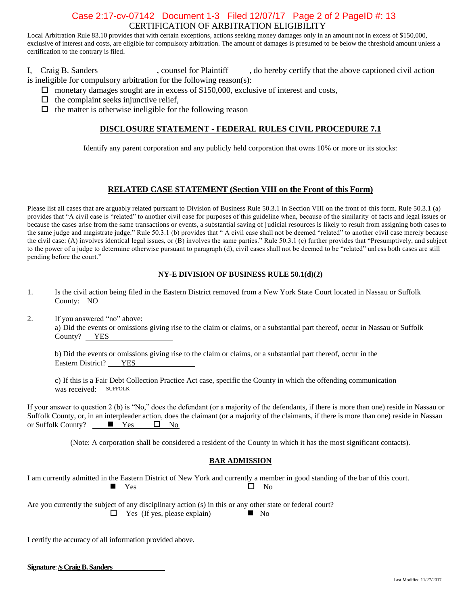#### CERTIFICATION OF ARBITRATION ELIGIBILITY Case 2:17-cv-07142 Document 1-3 Filed 12/07/17 Page 2 of 2 PageID #: 13

Local Arbitration Rule 83.10 provides that with certain exceptions, actions seeking money damages only in an amount not in excess of \$150,000, exclusive of interest and costs, are eligible for compulsory arbitration. The amount of damages is presumed to be below the threshold amount unless a certification to the contrary is filed.

I, Craig B. Sanders , counsel for Plaintiff , do hereby certify that the above captioned civil action is ineligible for compulsory arbitration for the following reason(s):

- $\Box$  monetary damages sought are in excess of \$150,000, exclusive of interest and costs,
- $\Box$  the complaint seeks injunctive relief,

 $\Box$  the matter is otherwise ineligible for the following reason

#### **DISCLOSURE STATEMENT - FEDERAL RULES CIVIL PROCEDURE 7.1**

Identify any parent corporation and any publicly held corporation that owns 10% or more or its stocks:

#### **RELATED CASE STATEMENT (Section VIII on the Front of this Form)**

Please list all cases that are arguably related pursuant to Division of Business Rule 50.3.1 in Section VIII on the front of this form. Rule 50.3.1 (a) provides that "A civil case is "related" to another civil case for purposes of this guideline when, because of the similarity of facts and legal issues or because the cases arise from the same transactions or events, a substantial saving of judicial resources is likely to result from assigning both cases to the same judge and magistrate judge." Rule 50.3.1 (b) provides that " A civil case shall not be deemed "related" to another c ivil case merely because the civil case: (A) involves identical legal issues, or (B) involves the same parties." Rule 50.3.1 (c) further provides that "Presumptively, and subject to the power of a judge to determine otherwise pursuant to paragraph (d), civil cases shall not be deemed to be "related" unl ess both cases are still pending before the court."

#### **NY-E DIVISION OF BUSINESS RULE 50.1(d)(2)**

- 1. Is the civil action being filed in the Eastern District removed from a New York State Court located in Nassau or Suffolk County: NO
- 2. If you answered "no" above:

a) Did the events or omissions giving rise to the claim or claims, or a substantial part thereof, occur in Nassau or Suffolk County? YES

b) Did the events or omissions giving rise to the claim or claims, or a substantial part thereof, occur in the Eastern District? YES

c) If this is a Fair Debt Collection Practice Act case, specific the County in which the offending communication was received: SUFFOLK

If your answer to question 2 (b) is "No," does the defendant (or a majority of the defendants, if there is more than one) reside in Nassau or Suffolk County, or, in an interpleader action, does the claimant (or a majority of the claimants, if there is more than one) reside in Nassau or Suffolk County? or Suffolk County?  $\blacksquare$  Yes  $\blacksquare$  No

(Note: A corporation shall be considered a resident of the County in which it has the most significant contacts).

#### **BAR ADMISSION**

I am currently admitted in the Eastern District of New York and currently a member in good standing of the bar of this court.  $Yes$   $\neg$   $No$ 

Are you currently the subject of any disciplinary action (s) in this or any other state or federal court?  $\Box$  Yes (If yes, please explain)  $\Box$  No

I certify the accuracy of all information provided above.

| Signature: /s Craig B. Sanders |
|--------------------------------|
|--------------------------------|